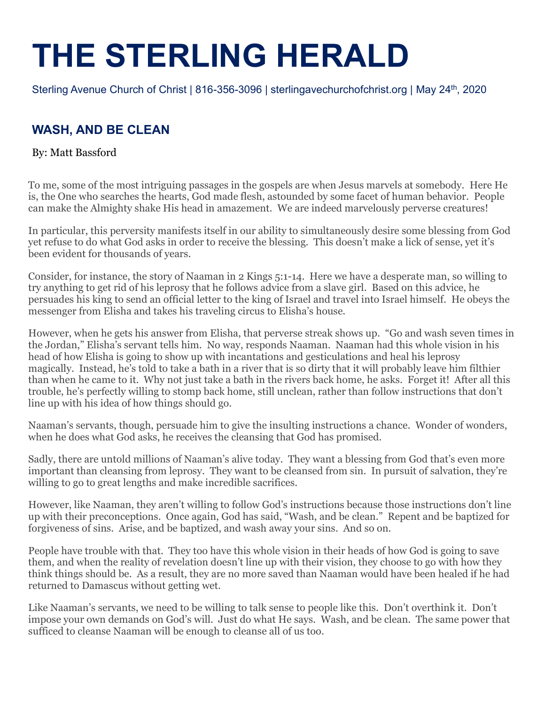# **THE STERLING HERALD**

Sterling Avenue Church of Christ | 816-356-3096 | sterlingavechurchofchrist.org | May 24th, 2020

### **WASH, AND BE CLEAN**

#### By: Matt Bassford

To me, some of the most intriguing passages in the gospels are when Jesus marvels at somebody. Here He is, the One who searches the hearts, God made flesh, astounded by some facet of human behavior. People can make the Almighty shake His head in amazement. We are indeed marvelously perverse creatures!

In particular, this perversity manifests itself in our ability to simultaneously desire some blessing from God yet refuse to do what God asks in order to receive the blessing. This doesn't make a lick of sense, yet it's been evident for thousands of years.

Consider, for instance, the story of Naaman in 2 Kings 5:1-14. Here we have a desperate man, so willing to try anything to get rid of his leprosy that he follows advice from a slave girl. Based on this advice, he persuades his king to send an official letter to the king of Israel and travel into Israel himself. He obeys the messenger from Elisha and takes his traveling circus to Elisha's house.

However, when he gets his answer from Elisha, that perverse streak shows up. "Go and wash seven times in the Jordan," Elisha's servant tells him. No way, responds Naaman. Naaman had this whole vision in his head of how Elisha is going to show up with incantations and gesticulations and heal his leprosy magically. Instead, he's told to take a bath in a river that is so dirty that it will probably leave him filthier than when he came to it. Why not just take a bath in the rivers back home, he asks. Forget it! After all this trouble, he's perfectly willing to stomp back home, still unclean, rather than follow instructions that don't line up with his idea of how things should go.

Naaman's servants, though, persuade him to give the insulting instructions a chance. Wonder of wonders, when he does what God asks, he receives the cleansing that God has promised.

Sadly, there are untold millions of Naaman's alive today. They want a blessing from God that's even more important than cleansing from leprosy. They want to be cleansed from sin. In pursuit of salvation, they're willing to go to great lengths and make incredible sacrifices.

However, like Naaman, they aren't willing to follow God's instructions because those instructions don't line up with their preconceptions. Once again, God has said, "Wash, and be clean." Repent and be baptized for forgiveness of sins. Arise, and be baptized, and wash away your sins. And so on.

People have trouble with that. They too have this whole vision in their heads of how God is going to save them, and when the reality of revelation doesn't line up with their vision, they choose to go with how they think things should be. As a result, they are no more saved than Naaman would have been healed if he had returned to Damascus without getting wet.

Like Naaman's servants, we need to be willing to talk sense to people like this. Don't overthink it. Don't impose your own demands on God's will. Just do what He says. Wash, and be clean. The same power that sufficed to cleanse Naaman will be enough to cleanse all of us too.